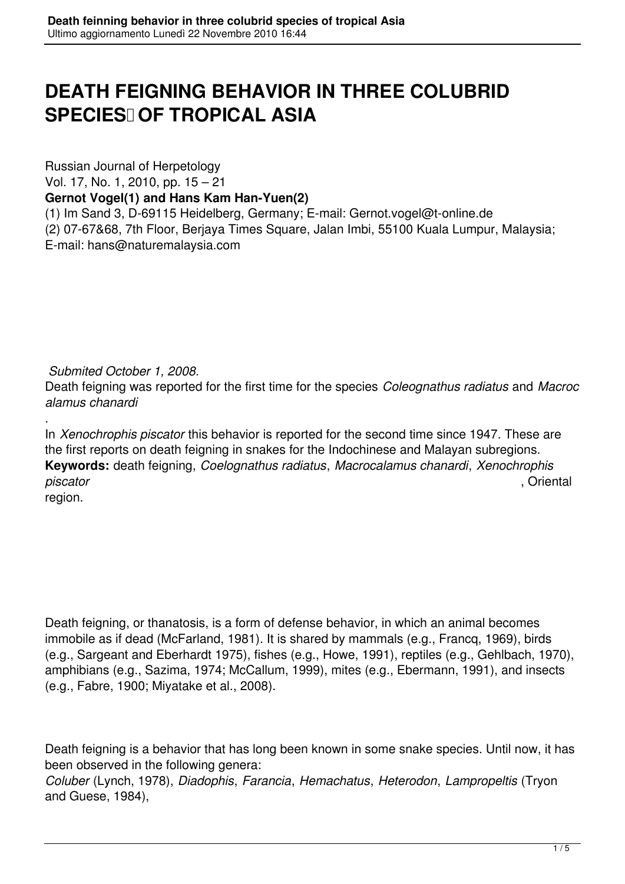## **DEATH FEIGNING BEHAVIOR IN THREE COLUBRID SPECIES OF TROPICAL ASIA**

Russian Journal of Herpetology

Vol. 17, No. 1, 2010, pp. 15 – 21

**Gernot Vogel(1) and Hans Kam Han-Yuen(2)**

(1) Im Sand 3, D-69115 Heidelberg, Germany; E-mail: Gernot.vogel@t-online.de (2) 07-67&68, 7th Floor, Berjaya Times Square, Jalan Imbi, 55100 Kuala Lumpur, Malaysia; E-mail: hans@naturemalaysia.com

*Submited October 1, 2008.*

Death feigning was reported for the first time for the species *Coleognathus radiatus* and *Macroc alamus chanardi*

. In *Xenochrophis piscator* this behavior is reported for the second time since 1947. These are the first reports on death feigning in snakes for the Indochinese and Malayan subregions. **Keywords:** death feigning, *Coelognathus radiatus*, *Macrocalamus chanardi*, *Xenochrophis piscator* , Oriental region.

Death feigning, or thanatosis, is a form of defense behavior, in which an animal becomes immobile as if dead (McFarland, 1981). It is shared by mammals (e.g., Francq, 1969), birds (e.g., Sargeant and Eberhardt 1975), fishes (e.g., Howe, 1991), reptiles (e.g., Gehlbach, 1970), amphibians (e.g., Sazima, 1974; McCallum, 1999), mites (e.g., Ebermann, 1991), and insects (e.g., Fabre, 1900; Miyatake et al., 2008).

Death feigning is a behavior that has long been known in some snake species. Until now, it has been observed in the following genera:

*Coluber* (Lynch, 1978), *Diadophis*, *Farancia*, *Hemachatus*, *Heterodon*, *Lampropeltis* (Tryon and Guese, 1984),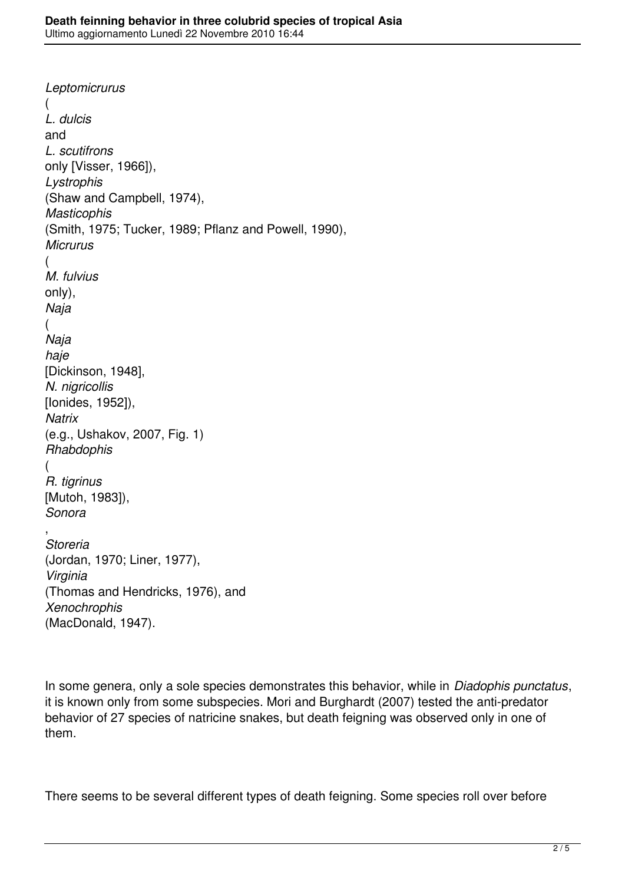*Leptomicrurus*  ( *L. dulcis*  and *L. scutifrons*  only [Visser, 1966]), *Lystrophis*  (Shaw and Campbell, 1974), *Masticophis*  (Smith, 1975; Tucker, 1989; Pflanz and Powell, 1990), *Micrurus*  ( *M. fulvius*  only), *Naja*  ( *Naja haje*  [Dickinson, 1948], *N. nigricollis*  [Ionides, 1952]), *Natrix*  (e.g., Ushakov, 2007, Fig. 1) *Rhabdophis*  ( *R. tigrinus*  [Mutoh, 1983]), *Sonora* , *Storeria*  (Jordan, 1970; Liner, 1977), *Virginia*  (Thomas and Hendricks, 1976), and *Xenochrophis*  (MacDonald, 1947).

In some genera, only a sole species demonstrates this behavior, while in *Diadophis punctatus*, it is known only from some subspecies. Mori and Burghardt (2007) tested the anti-predator behavior of 27 species of natricine snakes, but death feigning was observed only in one of them.

There seems to be several different types of death feigning. Some species roll over before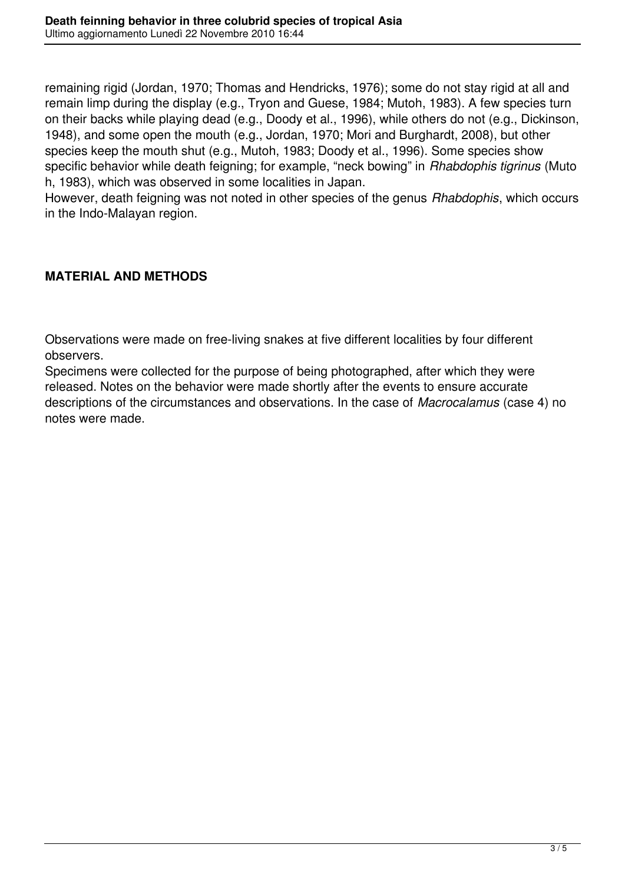remaining rigid (Jordan, 1970; Thomas and Hendricks, 1976); some do not stay rigid at all and remain limp during the display (e.g., Tryon and Guese, 1984; Mutoh, 1983). A few species turn on their backs while playing dead (e.g., Doody et al., 1996), while others do not (e.g., Dickinson, 1948), and some open the mouth (e.g., Jordan, 1970; Mori and Burghardt, 2008), but other species keep the mouth shut (e.g., Mutoh, 1983; Doody et al., 1996). Some species show specific behavior while death feigning; for example, "neck bowing" in *Rhabdophis tigrinus* (Muto h, 1983), which was observed in some localities in Japan.

However, death feigning was not noted in other species of the genus *Rhabdophis*, which occurs in the Indo-Malayan region.

## **MATERIAL AND METHODS**

Observations were made on free-living snakes at five different localities by four different observers.

Specimens were collected for the purpose of being photographed, after which they were released. Notes on the behavior were made shortly after the events to ensure accurate descriptions of the circumstances and observations. In the case of *Macrocalamus* (case 4) no notes were made.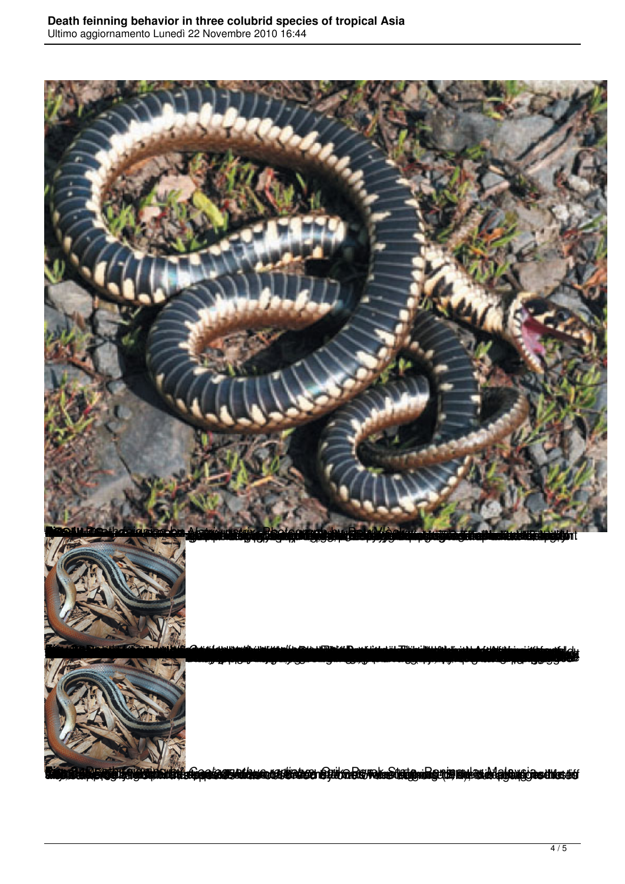